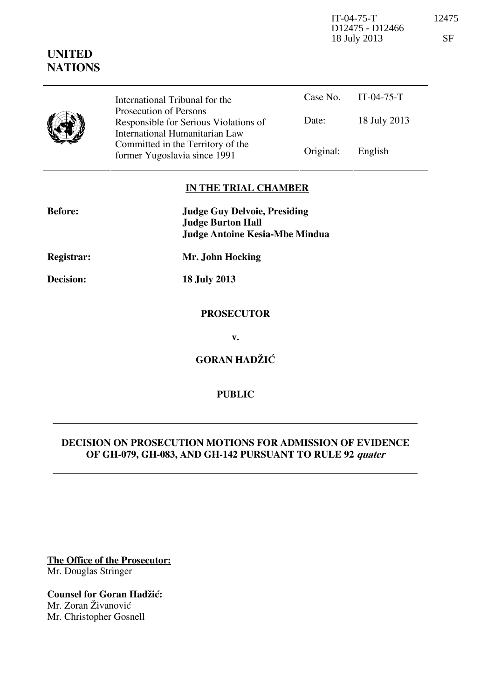IT-04-75-T 12475 D12475 - D12466 18 July 2013 SF

| International Tribunal for the<br>Prosecution of Persons<br>Responsible for Serious Violations of<br>International Humanitarian Law<br>Committed in the Territory of the<br>former Yugoslavia since 1991 | Case No.  | $IT-04-75-T$ |
|----------------------------------------------------------------------------------------------------------------------------------------------------------------------------------------------------------|-----------|--------------|
|                                                                                                                                                                                                          | Date:     | 18 July 2013 |
|                                                                                                                                                                                                          | Original: | English      |

# **IN THE TRIAL CHAMBER**

| <b>Before:</b> | <b>Judge Guy Delvoie, Presiding</b><br><b>Judge Burton Hall</b><br><b>Judge Antoine Kesia-Mbe Mindua</b> |  |
|----------------|----------------------------------------------------------------------------------------------------------|--|
| Registrar:     | Mr. John Hocking                                                                                         |  |
| Decision:      | <b>18 July 2013</b>                                                                                      |  |
|                | <b>PROSECUTOR</b>                                                                                        |  |
|                | v.                                                                                                       |  |
|                | <b>GORAN HADŽIĆ</b>                                                                                      |  |

## **PUBLIC**

## **DECISION ON PROSECUTION MOTIONS FOR ADMISSION OF EVIDENCE OF GH-079, GH-083, AND GH-142 PURSUANT TO RULE 92 quater**

**The Office of the Prosecutor:** Mr. Douglas Stringer

**Counsel for Goran Hadžić:** Mr. Zoran Živanović

Mr. Christopher Gosnell

**UNITED NATIONS**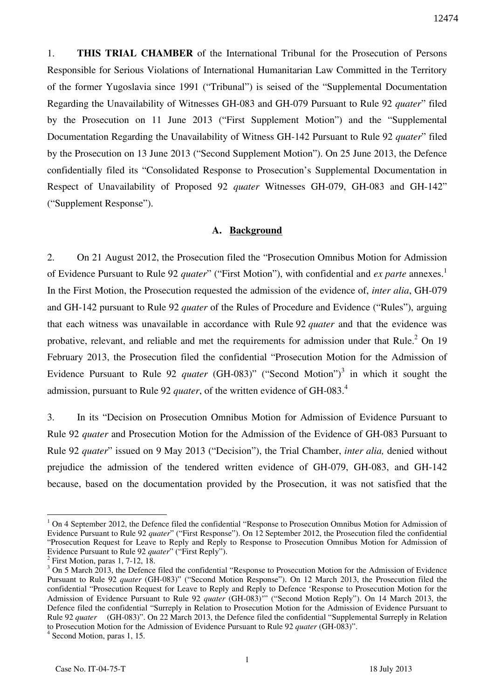1. **THIS TRIAL CHAMBER** of the International Tribunal for the Prosecution of Persons Responsible for Serious Violations of International Humanitarian Law Committed in the Territory of the former Yugoslavia since 1991 ("Tribunal") is seised of the "Supplemental Documentation Regarding the Unavailability of Witnesses GH-083 and GH-079 Pursuant to Rule 92 *quater*" filed by the Prosecution on 11 June 2013 ("First Supplement Motion") and the "Supplemental Documentation Regarding the Unavailability of Witness GH-142 Pursuant to Rule 92 *quater*" filed by the Prosecution on 13 June 2013 ("Second Supplement Motion"). On 25 June 2013, the Defence confidentially filed its "Consolidated Response to Prosecution's Supplemental Documentation in Respect of Unavailability of Proposed 92 *quater* Witnesses GH-079, GH-083 and GH-142" ("Supplement Response").

#### **A. Background**

2. On 21 August 2012, the Prosecution filed the "Prosecution Omnibus Motion for Admission of Evidence Pursuant to Rule 92 *quater*" ("First Motion"), with confidential and *ex parte* annexes. 1 In the First Motion, the Prosecution requested the admission of the evidence of, *inter alia*, GH-079 and GH-142 pursuant to Rule 92 *quater* of the Rules of Procedure and Evidence ("Rules"), arguing that each witness was unavailable in accordance with Rule 92 *quater* and that the evidence was probative, relevant, and reliable and met the requirements for admission under that Rule.<sup>2</sup> On 19 February 2013, the Prosecution filed the confidential "Prosecution Motion for the Admission of Evidence Pursuant to Rule 92 *quater* (GH-083)" ("Second Motion")<sup>3</sup> in which it sought the admission, pursuant to Rule 92 *quater*, of the written evidence of GH-083.<sup>4</sup>

3. In its "Decision on Prosecution Omnibus Motion for Admission of Evidence Pursuant to Rule 92 *quater* and Prosecution Motion for the Admission of the Evidence of GH-083 Pursuant to Rule 92 *quater*" issued on 9 May 2013 ("Decision"), the Trial Chamber, *inter alia,* denied without prejudice the admission of the tendered written evidence of GH-079, GH-083, and GH-142 because, based on the documentation provided by the Prosecution, it was not satisfied that the

<sup>&</sup>lt;sup>1</sup> On 4 September 2012, the Defence filed the confidential "Response to Prosecution Omnibus Motion for Admission of Evidence Pursuant to Rule 92 *quater*" ("First Response"). On 12 September 2012, the Prosecution filed the confidential "Prosecution Request for Leave to Reply and Reply to Response to Prosecution Omnibus Motion for Admission of Evidence Pursuant to Rule 92 *quater*" ("First Reply").

<sup>2</sup> First Motion, paras 1, 7-12, 18.

<sup>&</sup>lt;sup>3</sup> On 5 March 2013, the Defence filed the confidential "Response to Prosecution Motion for the Admission of Evidence Pursuant to Rule 92 *quater* (GH-083)" ("Second Motion Response"). On 12 March 2013, the Prosecution filed the confidential "Prosecution Request for Leave to Reply and Reply to Defence 'Response to Prosecution Motion for the Admission of Evidence Pursuant to Rule 92 *quater* (GH-083)'" ("Second Motion Reply"). On 14 March 2013, the Defence filed the confidential "Surreply in Relation to Prosecution Motion for the Admission of Evidence Pursuant to Rule 92 *quater* (GH-083)". On 22 March 2013, the Defence filed the confidential "Supplemental Surreply in Relation to Prosecution Motion for the Admission of Evidence Pursuant to Rule 92 *quater* (GH-083)".

<sup>4</sup> Second Motion, paras 1, 15.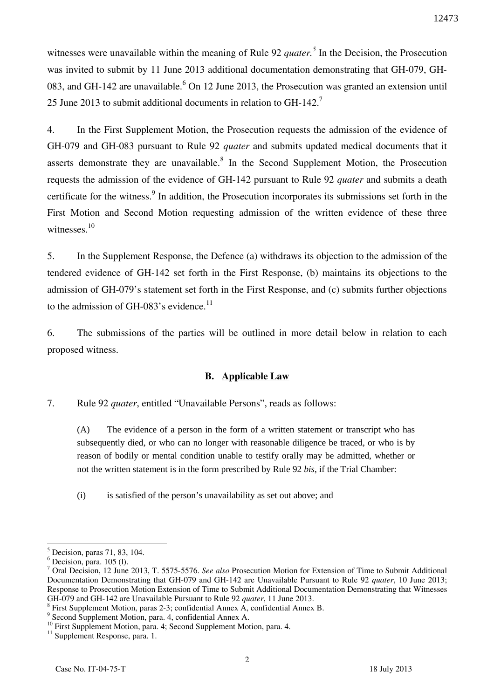witnesses were unavailable within the meaning of Rule 92 *quater.<sup>5</sup>* In the Decision, the Prosecution was invited to submit by 11 June 2013 additional documentation demonstrating that GH-079, GH-083, and GH-142 are unavailable.  $6$  On 12 June 2013, the Prosecution was granted an extension until 25 June 2013 to submit additional documents in relation to  $GH-142$ <sup>7</sup>

4. In the First Supplement Motion, the Prosecution requests the admission of the evidence of GH-079 and GH-083 pursuant to Rule 92 *quater* and submits updated medical documents that it asserts demonstrate they are unavailable. $8$  In the Second Supplement Motion, the Prosecution requests the admission of the evidence of GH-142 pursuant to Rule 92 *quater* and submits a death certificate for the witness.<sup>9</sup> In addition, the Prosecution incorporates its submissions set forth in the First Motion and Second Motion requesting admission of the written evidence of these three witnesses. $10$ 

5. In the Supplement Response, the Defence (a) withdraws its objection to the admission of the tendered evidence of GH-142 set forth in the First Response, (b) maintains its objections to the admission of GH-079's statement set forth in the First Response, and (c) submits further objections to the admission of GH-083's evidence.<sup>11</sup>

6. The submissions of the parties will be outlined in more detail below in relation to each proposed witness.

## **B. Applicable Law**

7. Rule 92 *quater*, entitled "Unavailable Persons", reads as follows:

(A) The evidence of a person in the form of a written statement or transcript who has subsequently died, or who can no longer with reasonable diligence be traced, or who is by reason of bodily or mental condition unable to testify orally may be admitted, whether or not the written statement is in the form prescribed by Rule 92 *bis*, if the Trial Chamber:

(i) is satisfied of the person's unavailability as set out above; and

 $<sup>5</sup>$  Decision, paras 71, 83, 104.</sup>

 $<sup>6</sup>$  Decision, para. 105 (1).</sup>

<sup>7</sup> Oral Decision, 12 June 2013, T. 5575-5576. *See also* Prosecution Motion for Extension of Time to Submit Additional Documentation Demonstrating that GH-079 and GH-142 are Unavailable Pursuant to Rule 92 *quater*, 10 June 2013; Response to Prosecution Motion Extension of Time to Submit Additional Documentation Demonstrating that Witnesses GH-079 and GH-142 are Unavailable Pursuant to Rule 92 *quater*, 11 June 2013.

 $8$  First Supplement Motion, paras 2-3; confidential Annex A, confidential Annex B.

<sup>9</sup> Second Supplement Motion, para. 4, confidential Annex A.

<sup>&</sup>lt;sup>10</sup> First Supplement Motion, para. 4; Second Supplement Motion, para. 4.

<sup>&</sup>lt;sup>11</sup> Supplement Response, para. 1.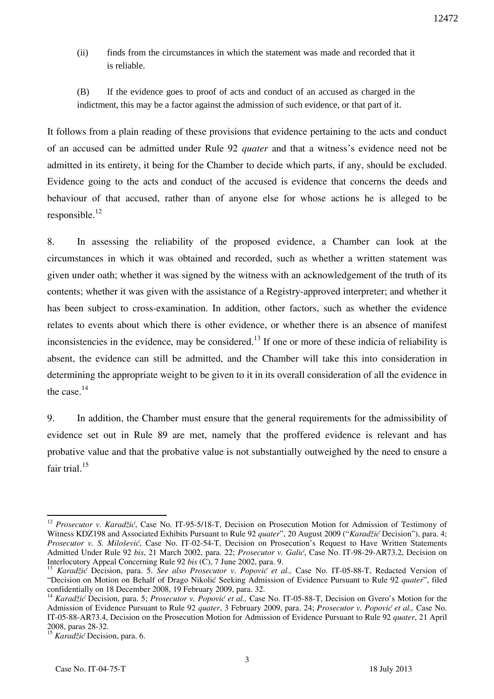- (ii) finds from the circumstances in which the statement was made and recorded that it is reliable.
- (B) If the evidence goes to proof of acts and conduct of an accused as charged in the indictment, this may be a factor against the admission of such evidence, or that part of it.

It follows from a plain reading of these provisions that evidence pertaining to the acts and conduct of an accused can be admitted under Rule 92 *quater* and that a witness's evidence need not be admitted in its entirety, it being for the Chamber to decide which parts, if any, should be excluded. Evidence going to the acts and conduct of the accused is evidence that concerns the deeds and behaviour of that accused, rather than of anyone else for whose actions he is alleged to be responsible. $^{12}$ 

8. In assessing the reliability of the proposed evidence, a Chamber can look at the circumstances in which it was obtained and recorded, such as whether a written statement was given under oath; whether it was signed by the witness with an acknowledgement of the truth of its contents; whether it was given with the assistance of a Registry-approved interpreter; and whether it has been subject to cross-examination. In addition, other factors, such as whether the evidence relates to events about which there is other evidence, or whether there is an absence of manifest inconsistencies in the evidence, may be considered.<sup>13</sup> If one or more of these indicia of reliability is absent, the evidence can still be admitted, and the Chamber will take this into consideration in determining the appropriate weight to be given to it in its overall consideration of all the evidence in the case. $14$ 

9. In addition, the Chamber must ensure that the general requirements for the admissibility of evidence set out in Rule 89 are met, namely that the proffered evidence is relevant and has probative value and that the probative value is not substantially outweighed by the need to ensure a fair trial.<sup>15</sup>

<sup>12</sup> *Prosecutor v. Karadžić*, Case No. IT-95-5/18-T, Decision on Prosecution Motion for Admission of Testimony of Witness KDZ198 and Associated Exhibits Pursuant to Rule 92 *quater*", 20 August 2009 ("*Karadžić* Decision"), para. 4; *Prosecutor v. S. Milošević*, Case No. IT-02-54-T, Decision on Prosecution's Request to Have Written Statements Admitted Under Rule 92 *bis*, 21 March 2002, para. 22; *Prosecutor v. Galić*, Case No. IT-98-29-AR73.2, Decision on Interlocutory Appeal Concerning Rule 92 *bis* (C), 7 June 2002, para. 9.

<sup>13</sup> *Karadžić* Decision, para. 5. *See also Prosecutor v. Popović et al.,* Case No. IT-05-88-T, Redacted Version of "Decision on Motion on Behalf of Drago Nikolić Seeking Admission of Evidence Pursuant to Rule 92 *quater*", filed confidentially on 18 December 2008, 19 February 2009, para. 32.

<sup>&</sup>lt;sup>14</sup> *Karadžić* Decision, para. 5; *Prosecutor v. Popović et al.*, Case No. IT-05-88-T, Decision on Gvero's Motion for the Admission of Evidence Pursuant to Rule 92 *quater*, 3 February 2009, para. 24; *Prosecutor v. Popović et al.,* Case No. IT-05-88-AR73.4, Decision on the Prosecution Motion for Admission of Evidence Pursuant to Rule 92 *quater*, 21 April 2008, paras 28-32.

<sup>15</sup> *Karadžić* Decision, para. 6.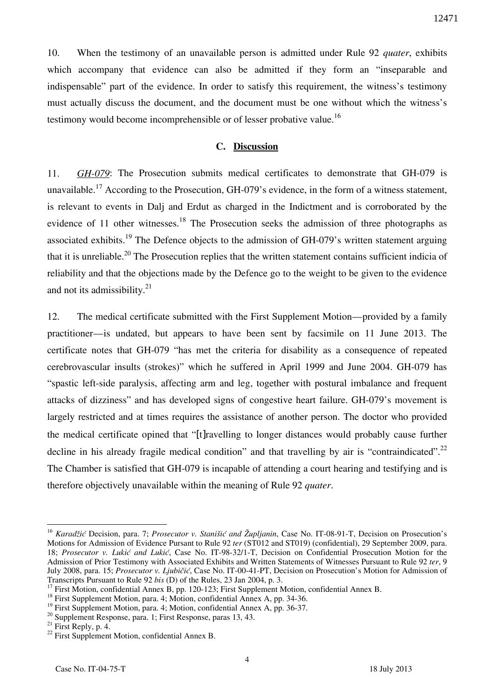10. When the testimony of an unavailable person is admitted under Rule 92 *quater*, exhibits which accompany that evidence can also be admitted if they form an "inseparable and indispensable" part of the evidence. In order to satisfy this requirement, the witness's testimony must actually discuss the document, and the document must be one without which the witness's testimony would become incomprehensible or of lesser probative value.<sup>16</sup>

### **C. Discussion**

11. *GH-079*: The Prosecution submits medical certificates to demonstrate that GH-079 is unavailable.<sup>17</sup> According to the Prosecution, GH-079's evidence, in the form of a witness statement, is relevant to events in Dalj and Erdut as charged in the Indictment and is corroborated by the evidence of 11 other witnesses.<sup>18</sup> The Prosecution seeks the admission of three photographs as associated exhibits.<sup>19</sup> The Defence objects to the admission of GH-079's written statement arguing that it is unreliable.<sup>20</sup> The Prosecution replies that the written statement contains sufficient indicia of reliability and that the objections made by the Defence go to the weight to be given to the evidence and not its admissibility. $21$ 

12. The medical certificate submitted with the First Supplement Motion—provided by a family practitioner—is undated, but appears to have been sent by facsimile on 11 June 2013. The certificate notes that GH-079 "has met the criteria for disability as a consequence of repeated cerebrovascular insults (strokes)" which he suffered in April 1999 and June 2004. GH-079 has "spastic left-side paralysis, affecting arm and leg, together with postural imbalance and frequent attacks of dizziness" and has developed signs of congestive heart failure. GH-079's movement is largely restricted and at times requires the assistance of another person. The doctor who provided the medical certificate opined that "[t]ravelling to longer distances would probably cause further decline in his already fragile medical condition" and that travelling by air is "contraindicated".<sup>22</sup> The Chamber is satisfied that GH-079 is incapable of attending a court hearing and testifying and is therefore objectively unavailable within the meaning of Rule 92 *quater*.

<sup>&</sup>lt;sup>16</sup> *Karadžić* Decision, para. 7; *Prosecutor v. Stanišić and Župljanin*, Case No. IT-08-91-T, Decision on Prosecution's Motions for Admission of Evidence Pursant to Rule 92 *ter* (ST012 and ST019) (confidential), 29 September 2009, para. 18; *Prosecutor v. Lukić and Lukić*, Case No. IT-98-32/1-T, Decision on Confidential Prosecution Motion for the Admission of Prior Testimony with Associated Exhibits and Written Statements of Witnesses Pursuant to Rule 92 *ter*, 9 July 2008, para. 15; *Prosecutor v. Ljubičić*, Case No. IT-00-41-PT, Decision on Prosecution's Motion for Admission of Transcripts Pursuant to Rule 92 *bis* (D) of the Rules, 23 Jan 2004, p. 3.

<sup>&</sup>lt;sup>17</sup> First Motion, confidential Annex B, pp. 120-123; First Supplement Motion, confidential Annex B.

<sup>&</sup>lt;sup>18</sup> First Supplement Motion, para. 4; Motion, confidential Annex A, pp. 34-36.

<sup>&</sup>lt;sup>19</sup> First Supplement Motion, para. 4; Motion, confidential Annex A, pp. 36-37.

<sup>&</sup>lt;sup>20</sup> Supplement Response, para. 1; First Response, paras 13, 43.

 $21$  First Reply, p. 4.

<sup>&</sup>lt;sup>22</sup> First Supplement Motion, confidential Annex B.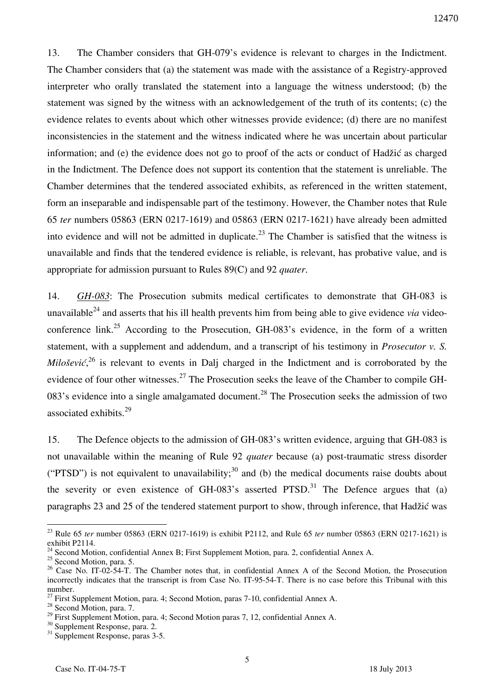13. The Chamber considers that GH-079's evidence is relevant to charges in the Indictment. The Chamber considers that (a) the statement was made with the assistance of a Registry-approved interpreter who orally translated the statement into a language the witness understood; (b) the statement was signed by the witness with an acknowledgement of the truth of its contents; (c) the evidence relates to events about which other witnesses provide evidence; (d) there are no manifest inconsistencies in the statement and the witness indicated where he was uncertain about particular information; and (e) the evidence does not go to proof of the acts or conduct of Hadžić as charged in the Indictment. The Defence does not support its contention that the statement is unreliable. The Chamber determines that the tendered associated exhibits, as referenced in the written statement, form an inseparable and indispensable part of the testimony. However, the Chamber notes that Rule 65 *ter* numbers 05863 (ERN 0217-1619) and 05863 (ERN 0217-1621) have already been admitted into evidence and will not be admitted in duplicate.<sup>23</sup> The Chamber is satisfied that the witness is unavailable and finds that the tendered evidence is reliable, is relevant, has probative value, and is appropriate for admission pursuant to Rules 89(C) and 92 *quater*.

14. *GH-083*: The Prosecution submits medical certificates to demonstrate that GH-083 is unavailable<sup>24</sup> and asserts that his ill health prevents him from being able to give evidence *via* videoconference link.<sup>25</sup> According to the Prosecution, GH-083's evidence, in the form of a written statement, with a supplement and addendum, and a transcript of his testimony in *Prosecutor v. S. Milošević*<sup>26</sup> is relevant to events in Dalj charged in the Indictment and is corroborated by the evidence of four other witnesses.<sup>27</sup> The Prosecution seeks the leave of the Chamber to compile GH-083's evidence into a single amalgamated document.<sup>28</sup> The Prosecution seeks the admission of two associated exhibits.<sup>29</sup>

15. The Defence objects to the admission of GH-083's written evidence, arguing that GH-083 is not unavailable within the meaning of Rule 92 *quater* because (a) post-traumatic stress disorder ("PTSD") is not equivalent to unavailability;<sup>30</sup> and (b) the medical documents raise doubts about the severity or even existence of  $GH-083$ 's asserted PTSD.<sup>31</sup> The Defence argues that (a) paragraphs 23 and 25 of the tendered statement purport to show, through inference, that Hadžić was

<sup>23</sup> Rule 65 *ter* number 05863 (ERN 0217-1619) is exhibit P2112, and Rule 65 *ter* number 05863 (ERN 0217-1621) is exhibit P2114.

<sup>&</sup>lt;sup>24</sup> Second Motion, confidential Annex B; First Supplement Motion, para. 2, confidential Annex A.

<sup>&</sup>lt;sup>25</sup> Second Motion, para. 5.

<sup>&</sup>lt;sup>26</sup> Case No. IT-02-54-T. The Chamber notes that, in confidential Annex A of the Second Motion, the Prosecution incorrectly indicates that the transcript is from Case No. IT-95-54-T. There is no case before this Tribunal with this number.

 $^{27}$  First Supplement Motion, para. 4; Second Motion, paras 7-10, confidential Annex A.

<sup>&</sup>lt;sup>28</sup> Second Motion, para. 7.

<sup>&</sup>lt;sup>29</sup> First Supplement Motion, para. 4; Second Motion paras 7, 12, confidential Annex A.

<sup>&</sup>lt;sup>30</sup> Supplement Response, para. 2.

<sup>&</sup>lt;sup>31</sup> Supplement Response, paras 3-5.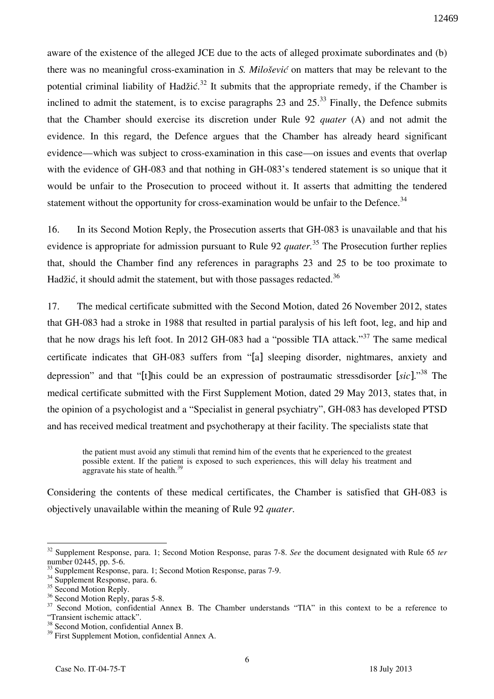aware of the existence of the alleged JCE due to the acts of alleged proximate subordinates and (b) there was no meaningful cross-examination in *S. Milošević* on matters that may be relevant to the potential criminal liability of Hadžić.<sup>32</sup> It submits that the appropriate remedy, if the Chamber is inclined to admit the statement, is to excise paragraphs 23 and  $25<sup>33</sup>$  Finally, the Defence submits that the Chamber should exercise its discretion under Rule 92 *quater* (A) and not admit the evidence. In this regard, the Defence argues that the Chamber has already heard significant evidence—which was subject to cross-examination in this case—on issues and events that overlap with the evidence of GH-083 and that nothing in GH-083's tendered statement is so unique that it would be unfair to the Prosecution to proceed without it. It asserts that admitting the tendered statement without the opportunity for cross-examination would be unfair to the Defence.<sup>34</sup>

16. In its Second Motion Reply, the Prosecution asserts that GH-083 is unavailable and that his evidence is appropriate for admission pursuant to Rule 92 *quater.*<sup>35</sup> The Prosecution further replies that, should the Chamber find any references in paragraphs 23 and 25 to be too proximate to Hadžić, it should admit the statement, but with those passages redacted.<sup>36</sup>

17. The medical certificate submitted with the Second Motion, dated 26 November 2012, states that GH-083 had a stroke in 1988 that resulted in partial paralysis of his left foot, leg, and hip and that he now drags his left foot. In 2012 GH-083 had a "possible TIA attack."<sup>37</sup> The same medical certificate indicates that GH-083 suffers from "[a] sleeping disorder, nightmares, anxiety and depression" and that "[t]his could be an expression of postraumatic stressdisorder [*sic*]."<sup>38</sup> The medical certificate submitted with the First Supplement Motion, dated 29 May 2013, states that, in the opinion of a psychologist and a "Specialist in general psychiatry", GH-083 has developed PTSD and has received medical treatment and psychotherapy at their facility. The specialists state that

the patient must avoid any stimuli that remind him of the events that he experienced to the greatest possible extent. If the patient is exposed to such experiences, this will delay his treatment and aggravate his state of health.<sup>39</sup>

Considering the contents of these medical certificates, the Chamber is satisfied that GH-083 is objectively unavailable within the meaning of Rule 92 *quater*.

<sup>32</sup> Supplement Response, para. 1; Second Motion Response, paras 7-8. *See* the document designated with Rule 65 *ter*  number 02445, pp. 5-6.

<sup>&</sup>lt;sup>33</sup> Supplement Response, para. 1; Second Motion Response, paras 7-9.

<sup>&</sup>lt;sup>34</sup> Supplement Response, para. 6.

 $35$  Second Motion Reply.

<sup>&</sup>lt;sup>36</sup> Second Motion Reply, paras 5-8.

<sup>&</sup>lt;sup>37</sup> Second Motion, confidential Annex B. The Chamber understands "TIA" in this context to be a reference to "Transient ischemic attack".

<sup>&</sup>lt;sup>38</sup> Second Motion, confidential Annex B.

<sup>&</sup>lt;sup>39</sup> First Supplement Motion, confidential Annex A.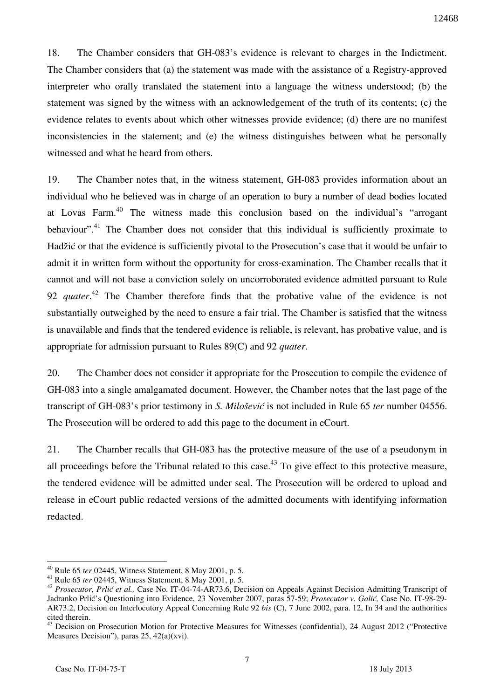18. The Chamber considers that GH-083's evidence is relevant to charges in the Indictment. The Chamber considers that (a) the statement was made with the assistance of a Registry-approved interpreter who orally translated the statement into a language the witness understood; (b) the statement was signed by the witness with an acknowledgement of the truth of its contents; (c) the evidence relates to events about which other witnesses provide evidence; (d) there are no manifest inconsistencies in the statement; and (e) the witness distinguishes between what he personally witnessed and what he heard from others.

19. The Chamber notes that, in the witness statement, GH-083 provides information about an individual who he believed was in charge of an operation to bury a number of dead bodies located at Lovas Farm.<sup>40</sup> The witness made this conclusion based on the individual's "arrogant behaviour".<sup>41</sup> The Chamber does not consider that this individual is sufficiently proximate to Hadžić or that the evidence is sufficiently pivotal to the Prosecution's case that it would be unfair to admit it in written form without the opportunity for cross-examination. The Chamber recalls that it cannot and will not base a conviction solely on uncorroborated evidence admitted pursuant to Rule 92 *quater*. <sup>42</sup> The Chamber therefore finds that the probative value of the evidence is not substantially outweighed by the need to ensure a fair trial. The Chamber is satisfied that the witness is unavailable and finds that the tendered evidence is reliable, is relevant, has probative value, and is appropriate for admission pursuant to Rules 89(C) and 92 *quater*.

20. The Chamber does not consider it appropriate for the Prosecution to compile the evidence of GH-083 into a single amalgamated document. However, the Chamber notes that the last page of the transcript of GH-083's prior testimony in *S. Milošević* is not included in Rule 65 *ter* number 04556. The Prosecution will be ordered to add this page to the document in eCourt.

21. The Chamber recalls that GH-083 has the protective measure of the use of a pseudonym in all proceedings before the Tribunal related to this case.<sup>43</sup> To give effect to this protective measure, the tendered evidence will be admitted under seal. The Prosecution will be ordered to upload and release in eCourt public redacted versions of the admitted documents with identifying information redacted.

<sup>40</sup> Rule 65 *ter* 02445, Witness Statement, 8 May 2001, p. 5.

<sup>41</sup> Rule 65 *ter* 02445, Witness Statement, 8 May 2001, p. 5.

<sup>42</sup> *Prosecutor, Prlić et al.,* Case No. IT-04-74-AR73.6, Decision on Appeals Against Decision Admitting Transcript of Jadranko Prlić's Questioning into Evidence, 23 November 2007, paras 57-59; *Prosecutor v. Galić,* Case No. IT-98-29- AR73.2, Decision on Interlocutory Appeal Concerning Rule 92 *bis* (C), 7 June 2002, para. 12, fn 34 and the authorities cited therein.

<sup>&</sup>lt;sup>43</sup> Decision on Prosecution Motion for Protective Measures for Witnesses (confidential), 24 August 2012 ("Protective Measures Decision"), paras 25, 42(a)(xvi).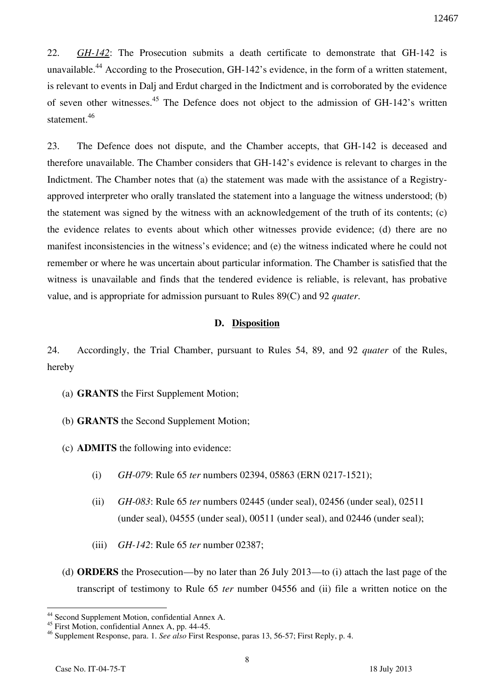22. *GH-142*: The Prosecution submits a death certificate to demonstrate that GH-142 is unavailable.<sup>44</sup> According to the Prosecution, GH-142's evidence, in the form of a written statement, is relevant to events in Dalj and Erdut charged in the Indictment and is corroborated by the evidence of seven other witnesses.<sup>45</sup> The Defence does not object to the admission of GH-142's written statement.<sup>46</sup>

23. The Defence does not dispute, and the Chamber accepts, that GH-142 is deceased and therefore unavailable. The Chamber considers that GH-142's evidence is relevant to charges in the Indictment. The Chamber notes that (a) the statement was made with the assistance of a Registryapproved interpreter who orally translated the statement into a language the witness understood; (b) the statement was signed by the witness with an acknowledgement of the truth of its contents; (c) the evidence relates to events about which other witnesses provide evidence; (d) there are no manifest inconsistencies in the witness's evidence; and (e) the witness indicated where he could not remember or where he was uncertain about particular information. The Chamber is satisfied that the witness is unavailable and finds that the tendered evidence is reliable, is relevant, has probative value, and is appropriate for admission pursuant to Rules 89(C) and 92 *quater*.

## **D. Disposition**

24. Accordingly, the Trial Chamber, pursuant to Rules 54, 89, and 92 *quater* of the Rules, hereby

- (a) **GRANTS** the First Supplement Motion;
- (b) **GRANTS** the Second Supplement Motion;
- (c) **ADMITS** the following into evidence:
	- (i) *GH-079*: Rule 65 *ter* numbers 02394, 05863 (ERN 0217-1521);
	- (ii) *GH-083*: Rule 65 *ter* numbers 02445 (under seal), 02456 (under seal), 02511 (under seal), 04555 (under seal), 00511 (under seal), and 02446 (under seal);
	- (iii) *GH-142*: Rule 65 *ter* number 02387;
- (d) **ORDERS** the Prosecution—by no later than 26 July 2013—to (i) attach the last page of the transcript of testimony to Rule 65 *ter* number 04556 and (ii) file a written notice on the

 $\overline{a}$ <sup>44</sup> Second Supplement Motion, confidential Annex A.

<sup>&</sup>lt;sup>45</sup> First Motion, confidential Annex A, pp. 44-45.

<sup>46</sup> Supplement Response, para. 1. *See also* First Response, paras 13, 56-57; First Reply, p. 4.